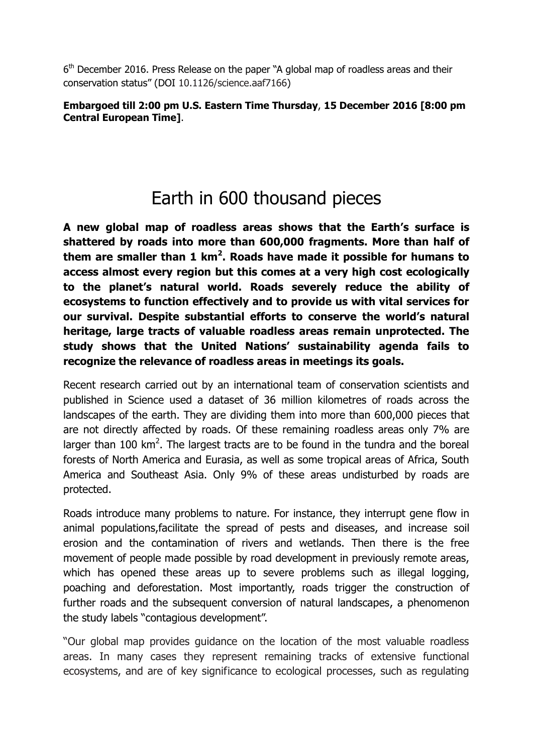6<sup>th</sup> December 2016. Press Release on the paper "A global map of roadless areas and their conservation status" (DOI 10.1126/science.aaf7166)

## **Embargoed till 2:00 pm U.S. Eastern Time Thursday**, **15 December 2016 [8:00 pm Central European Time]**.

## Earth in 600 thousand pieces

**A new global map of roadless areas shows that the Earth's surface is shattered by roads into more than 600,000 fragments. More than half of them are smaller than 1 km<sup>2</sup> . Roads have made it possible for humans to access almost every region but this comes at a very high cost ecologically to the planet's natural world. Roads severely reduce the ability of ecosystems to function effectively and to provide us with vital services for our survival. Despite substantial efforts to conserve the world's natural heritage, large tracts of valuable roadless areas remain unprotected. The study shows that the United Nations' sustainability agenda fails to recognize the relevance of roadless areas in meetings its goals.** 

Recent research carried out by an international team of conservation scientists and published in Science used a dataset of 36 million kilometres of roads across the landscapes of the earth. They are dividing them into more than 600,000 pieces that are not directly affected by roads. Of these remaining roadless areas only 7% are larger than 100  $km^2$ . The largest tracts are to be found in the tundra and the boreal forests of North America and Eurasia, as well as some tropical areas of Africa, South America and Southeast Asia. Only 9% of these areas undisturbed by roads are protected.

Roads introduce many problems to nature. For instance, they interrupt gene flow in animal populations,facilitate the spread of pests and diseases, and increase soil erosion and the contamination of rivers and wetlands. Then there is the free movement of people made possible by road development in previously remote areas, which has opened these areas up to severe problems such as illegal logging, poaching and deforestation. Most importantly, roads trigger the construction of further roads and the subsequent conversion of natural landscapes, a phenomenon the study labels "contagious development".

"Our global map provides guidance on the location of the most valuable roadless areas. In many cases they represent remaining tracks of extensive functional ecosystems, and are of key significance to ecological processes, such as regulating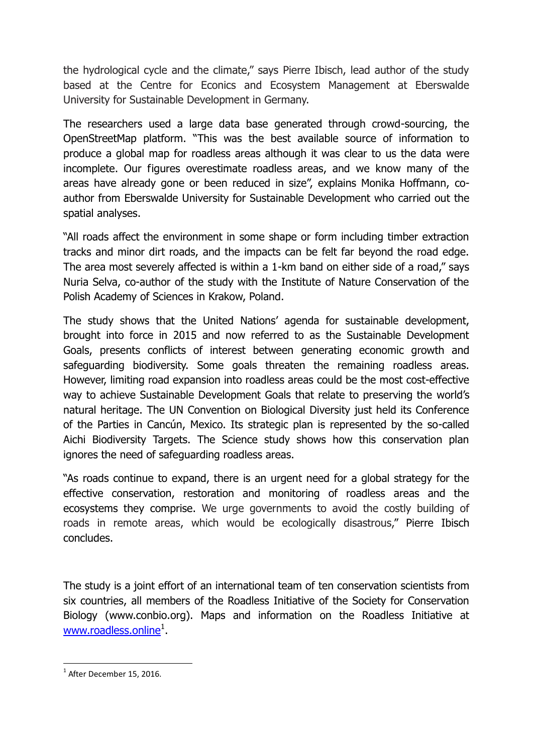the hydrological cycle and the climate," says Pierre Ibisch, lead author of the study based at the Centre for Econics and Ecosystem Management at Eberswalde University for Sustainable Development in Germany.

The researchers used a large data base generated through crowd-sourcing, the OpenStreetMap platform. "This was the best available source of information to produce a global map for roadless areas although it was clear to us the data were incomplete. Our figures overestimate roadless areas, and we know many of the areas have already gone or been reduced in size", explains Monika Hoffmann, coauthor from Eberswalde University for Sustainable Development who carried out the spatial analyses.

"All roads affect the environment in some shape or form including timber extraction tracks and minor dirt roads, and the impacts can be felt far beyond the road edge. The area most severely affected is within a 1-km band on either side of a road," says Nuria Selva, co-author of the study with the Institute of Nature Conservation of the Polish Academy of Sciences in Krakow, Poland.

The study shows that the United Nations' agenda for sustainable development, brought into force in 2015 and now referred to as the Sustainable Development Goals, presents conflicts of interest between generating economic growth and safeguarding biodiversity. Some goals threaten the remaining roadless areas. However, limiting road expansion into roadless areas could be the most cost-effective way to achieve Sustainable Development Goals that relate to preserving the world's natural heritage. The UN Convention on Biological Diversity just held its Conference of the Parties in Cancún, Mexico. Its strategic plan is represented by the so-called Aichi Biodiversity Targets. The Science study shows how this conservation plan ignores the need of safeguarding roadless areas.

"As roads continue to expand, there is an urgent need for a global strategy for the effective conservation, restoration and monitoring of roadless areas and the ecosystems they comprise. We urge governments to avoid the costly building of roads in remote areas, which would be ecologically disastrous," Pierre Ibisch concludes.

The study is a joint effort of an international team of ten conservation scientists from six countries, all members of the Roadless Initiative of the Society for Conservation Biology (www.conbio.org). Maps and information on the Roadless Initiative at [www.roadless.online](http://www.roadless.online/)<sup>1</sup>.

1

 $^1$  After December 15, 2016.